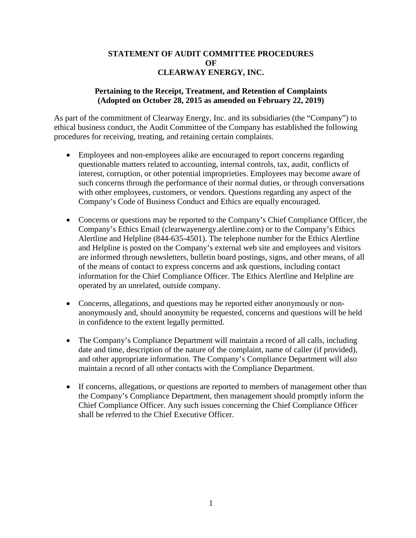## **STATEMENT OF AUDIT COMMITTEE PROCEDURES OF CLEARWAY ENERGY, INC.**

## **Pertaining to the Receipt, Treatment, and Retention of Complaints (Adopted on October 28, 2015 as amended on February 22, 2019)**

As part of the commitment of Clearway Energy, Inc. and its subsidiaries (the "Company") to ethical business conduct, the Audit Committee of the Company has established the following procedures for receiving, treating, and retaining certain complaints.

- Employees and non-employees alike are encouraged to report concerns regarding questionable matters related to accounting, internal controls, tax, audit, conflicts of interest, corruption, or other potential improprieties. Employees may become aware of such concerns through the performance of their normal duties, or through conversations with other employees, customers, or vendors. Questions regarding any aspect of the Company's Code of Business Conduct and Ethics are equally encouraged.
- Concerns or questions may be reported to the Company's Chief Compliance Officer, the Company's Ethics Email (clearwayenergy.alertline.com) or to the Company's Ethics Alertline and Helpline (844-635-4501). The telephone number for the Ethics Alertline and Helpline is posted on the Company's external web site and employees and visitors are informed through newsletters, bulletin board postings, signs, and other means, of all of the means of contact to express concerns and ask questions, including contact information for the Chief Compliance Officer. The Ethics Alertline and Helpline are operated by an unrelated, outside company.
- Concerns, allegations, and questions may be reported either anonymously or nonanonymously and, should anonymity be requested, concerns and questions will be held in confidence to the extent legally permitted.
- The Company's Compliance Department will maintain a record of all calls, including date and time, description of the nature of the complaint, name of caller (if provided), and other appropriate information. The Company's Compliance Department will also maintain a record of all other contacts with the Compliance Department.
- If concerns, allegations, or questions are reported to members of management other than the Company's Compliance Department, then management should promptly inform the Chief Compliance Officer. Any such issues concerning the Chief Compliance Officer shall be referred to the Chief Executive Officer.